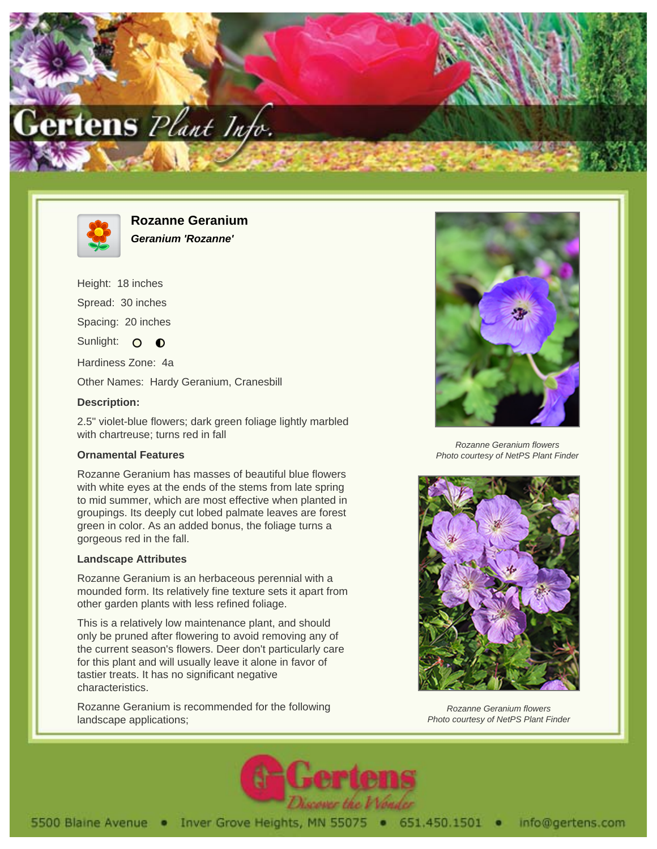



**Rozanne Geranium Geranium 'Rozanne'**

Height: 18 inches Spread: 30 inches Spacing: 20 inches

Sunlight: O **O** 

Hardiness Zone: 4a

Other Names: Hardy Geranium, Cranesbill

## **Description:**

2.5" violet-blue flowers; dark green foliage lightly marbled with chartreuse; turns red in fall

## **Ornamental Features**

Rozanne Geranium has masses of beautiful blue flowers with white eyes at the ends of the stems from late spring to mid summer, which are most effective when planted in groupings. Its deeply cut lobed palmate leaves are forest green in color. As an added bonus, the foliage turns a gorgeous red in the fall.

## **Landscape Attributes**

Rozanne Geranium is an herbaceous perennial with a mounded form. Its relatively fine texture sets it apart from other garden plants with less refined foliage.

This is a relatively low maintenance plant, and should only be pruned after flowering to avoid removing any of the current season's flowers. Deer don't particularly care for this plant and will usually leave it alone in favor of tastier treats. It has no significant negative characteristics.

Rozanne Geranium is recommended for the following landscape applications;



Rozanne Geranium flowers Photo courtesy of NetPS Plant Finder



Rozanne Geranium flowers Photo courtesy of NetPS Plant Finder